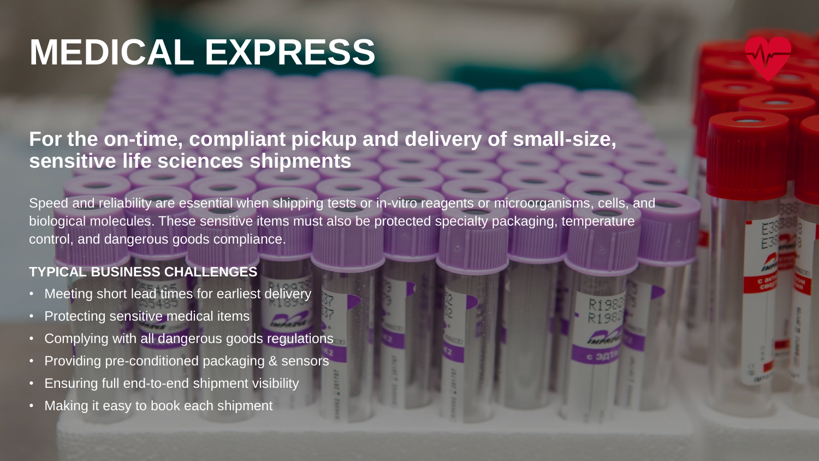## **MEDICAL EXPRESS**

**For the on-time, compliant pickup and delivery of small-size, sensitive life sciences shipments**

Speed and reliability are essential when shipping tests or in-vitro reagents or microorganisms, cells, and biological molecules. These sensitive items must also be protected specialty packaging, temperature control, and dangerous goods compliance.

### **TYPICAL BUSINESS CHALLENGES**

- Meeting short lead times for earliest delivery
- Protecting sensitive medical items
- Complying with all dangerous goods regulations
- Providing pre-conditioned packaging & sensors
- Ensuring full end-to-end shipment visibility
- Making it easy to book each shipment